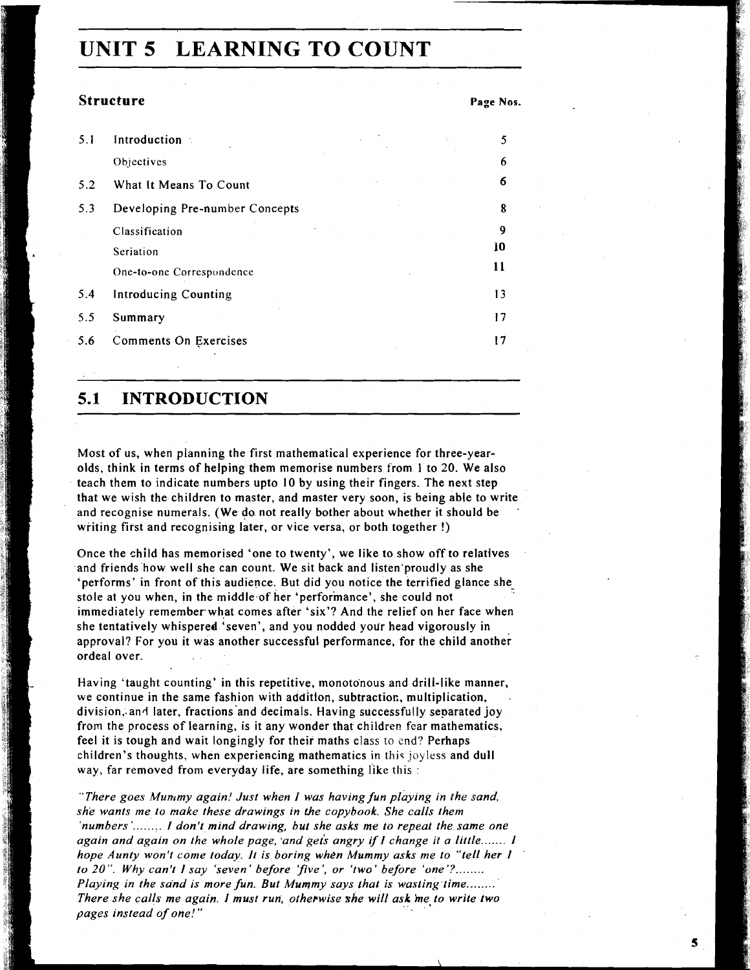# **UNIT 5 LEARNING TO COUNT**

#### **Structure**

|  | Page Nos. |  |
|--|-----------|--|
|--|-----------|--|

 $5<sub>1</sub>$ 

| 5.1 | Introduction                   |  | 5  |
|-----|--------------------------------|--|----|
|     | Objectives                     |  | 6  |
| 5.2 | What It Means To Count         |  | 6  |
| 5.3 | Developing Pre-number Concepts |  | 8  |
|     | Classification                 |  | 9  |
|     | Seriation                      |  | 10 |
|     | One-to-one Correspondence      |  | 11 |
| 5.4 | <b>Introducing Counting</b>    |  | 13 |
| 5.5 | Summary                        |  | 17 |
| 5.6 | Comments On Exercises          |  | 17 |
|     |                                |  |    |

## **5.1 INTRODUCTION**

Most of us, when planning the first mathematical experience for three-yearolds, think in terms of helping them memorise numbers from 1 to 20. We also teach them to indicate numbers upto 10 by using their fingers. The next step that we wish the children to master, and master very soon, is being able to write and recognise numerals. (We do not really bother about whether it should be ' writing first and recognising later, or vice versa, or both together !)

Once the child has memorised 'one to twenty', we like to show off to relatives and friends how well she can count. We sit back and listen'proudly as she 'performs' in front of this audience. But did you notice the terrified glance shestole at you when, in the middle of her 'performance', she could not immediately remember what comes after 'six'? And the relief on her face when she tentatively whispered 'seven', and you nodded your head vigorously in approval? For you it was another successful performance, for the child another ordeal over.

Having 'taught counting' in this repetitive, monotonous and drill-like manner, we continue in the same fashion with additlon, subtractior., multiplication, division, and later, fractions and decimals. Having successfully separated joy from the process of learning, is it any wonder that children fear mathematics, feel it is tough and wait longingly for their maths class to end? Perhaps children's thoughts, when experiencing mathematics in this joyless and dull way, far removed from everyday life, are something like this :

"There goes Mummy again! Just when I was having fun playing in the sand, *she wants me to make these drawings in Lhe copybook. She calls them 'numbers'* ........ *I don't mind drawing, but she asks* **me** *to repeat the same one again and again on the whole page, and gets angry if I change it a little....... I hope Aunty won't come today. It is boring when Mummy asks me to "tell her I*  to 20". Why can't I say 'seven' before 'five', or 'two' before 'one'?........ *Playing in the sand is more fun. But Mummy says that is wasting time....... There she calls me again. I must run, otherwise she will ask me to write two pages instead of one!"*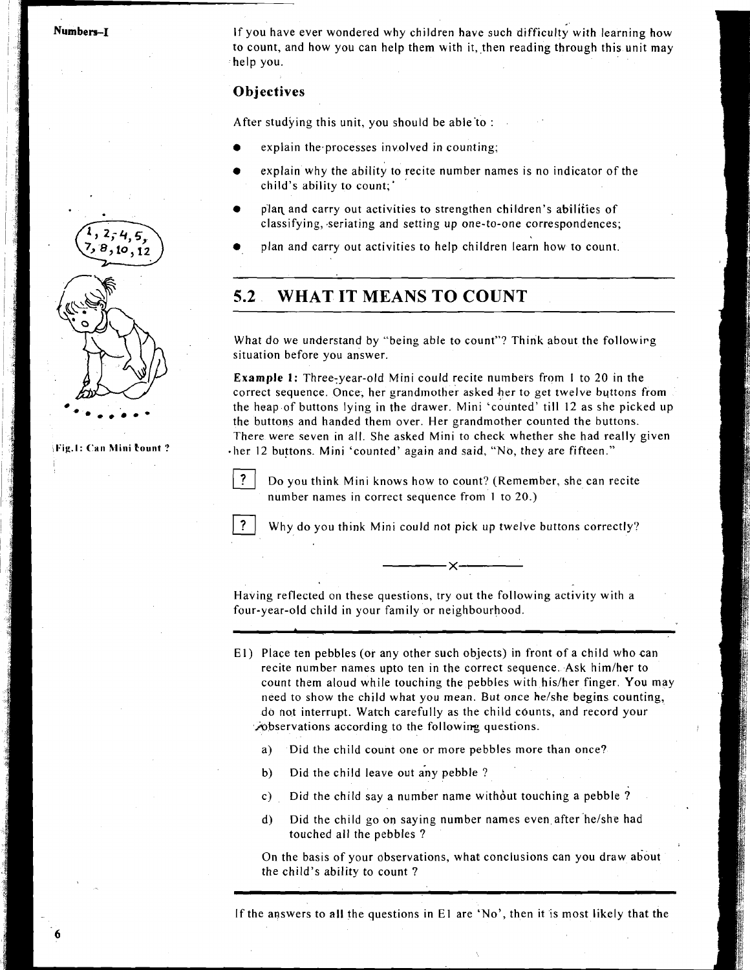Numbers-I

**\*..\*a\*-** 

**1l:ig.l: ('an hliui Eount** ?

If you have ever wondered why children have such difficulty with learning how to count, and how you can help them with it, then reading through this unit may help you.

### **Objectives**

After studying this unit, you should be able to :

- explain the processes involved in counting;
	- explain why the ability to recite number names is no indicator of the child's ability to count;'
	- plan and carry out activities to strengthen children's abilities of classifying, seriating and setting up one-to-one correspondences;
	- plan and carry out activities to help children learn how to count.

## **5.2 WHAT IT MEANS TO COUNT**

What do we understand by "being able to count"? Think about the followirg situation before you answer.

**Example 1:** Three-year-old Mini could recite numbers from 1 to 20 in the correct sequence. Once, her grandmother asked her to get twelve buttons from the heap of buttons lying in the drawer. Mini 'counted' till 12 as she picked up the buttons and handed them over. Her grandmother counted the buttons. There were seven in all. She asked Mini to check whether she had really given her 12 buttons. Mini 'counted' again and said, "No, they are fifteen."



Do you think Mini knows how to count? (Remember, she can recite number names in correct sequence from 1 to 20.)



Having reflected on these questions, try out the following activity with a four-year-old child in your family or neighbourhood.

**El)** Place ten pebbles (or any other such objects) in front of a child who can recite number names upto ten in the correct sequence. Ask him/her to count them aloud while touching the pebbles with his/her finger. You may need to show the child what you mean. But once helshe begins counting, do not interrupt. Watch carefully as the child counts, and record your **hobservations according to the following questions.** 

- a) Did the child count one or more pebbles more than once?
- b) Did the child leave out any pebble ?
- c) Did the child say a number name without touching a pebble ?
- d) Did the child go on saying number names even after he/she had touched all the pebbles ?

On the basis of your observations, what conclusions can you draw about the child's ability to count ?

If the answers to all the questions in **El** are 'No', then it is most likely that the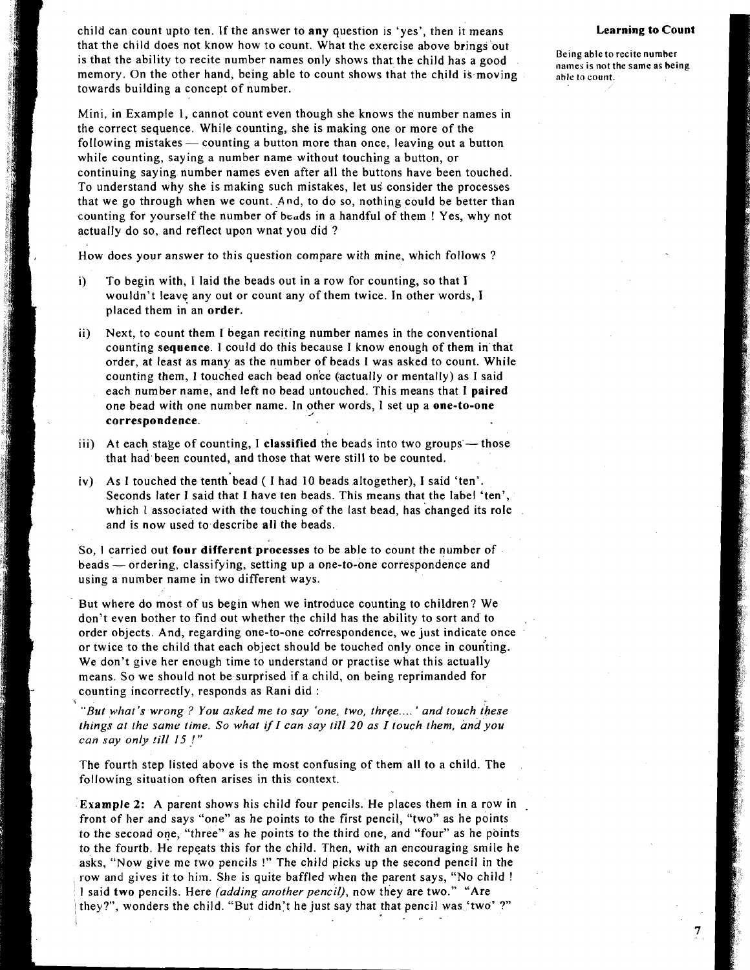<sup>1</sup>child can count upto ten. If the answer to any question is 'yes', then it means **Learning to Count**  that the child does not know how to count. What the exercise above brings'out If the ability to recite number names only shows that the child has a good **Being able to recite number** is that the ability to recite number names only shows that the child has a good memory. On the other hand, being able to count shows that the child is moving able to count. towards building a concept of number.

Mini, in Example 1, cannot count even though she knows the number names in the correct sequence. While counting, she is making one or more of the following mistakes - counting a button more than once, leaving out a button while counting, saying a number name without touching a button, or continuing saying number names even after all the buttons have been touched. To understand why she is making such mistakes, let us consider the processes that we go through when we count. And, to do so, nothing could be better than counting for yourself the number of beads in a handful of them ! Yes, why not actually do so, and reflect upon wnat you did ?

How does your answer to this question compare with mine, which follows ?

- i) To begin with, 1 laid the beads out in a row for counting, so that I wouldn't leave any out or count any of them twice. In other words, I placed them in an **order**.
- ii) Next, to count them I began reciting number names in the conventional counting **sequence.** I could do this because I know enough of them in that order, at least as many as the number of beads I was asked to count. While counting them, I touched each bead once (actually or mentally) as I said each number name, and left no bead untouched. This means that 1 **paired**  counting them, I touched each bead once (actually or mentally) as I said<br>each number name, and left no bead untouched. This means that I pair<br>one bead with one number name. In other words, I set up a **one-to-one**<br>correspon
- iii) At each stage of counting, I **classified** the beads into two groups those that had been counted, and those that were still to be counted.
- iv) As I touched the tenth'bead ( I had 10 beads altogether), I said 'ten'. Seconds later 1 said that I have ten beads. This means that the label 'ten', which **1** associated with the touching of the last bead, has changed its role and is now used to describe all the beads.

So, **1** carried out **four different processes** to be able to count the number of So, I carried out four different processes to be able to count the number of beads — ordering, classifying, setting up a one-to-one correspondence and using a number name in two different ways.

But where do most of us begin when we introduce counting to children? We don't even bother to find out whether the child has the ability to sort and to . order objects. And, regarding one-to-one co'rrespondence, we just indicate once or twice to the child that each object should be touched only once in counting. We don't give her enough time to understand or practise what this actually means. So we should not be surptised if a child, on being reprimanded for counting incorrectly, responds as Rani did :

*"But what's wrong* ? *You asked me to say 'one, two, three* .... ' *and touch these things at the same time. So what if I can say till 20 as I touch them, and you can say only !ill* **I5** !"

The fourth step listed above is the most confusing of them all to a child. The following situation often arises in this context.

**Example 2:** A parent shows his child four pencils. He places them in a row in front of her and says "one" as he points to the first pencil, "two" as he points to the second one, "three" as he points to the third one, and "four" as he points to the fourth. He repeats this for the child. Then, with an encouraging smile he asks, "Now give me two pencils !" The child picks up the second pencil in the row and gives it to him. She is quite baffled when the parent says, "No child ! I said *two* pencils. Here *(adding another* pencil), now they are two." "Are they?", wonders the child. "But didn't he just say that that pencil was 'two' ?"  $\blacksquare$ 

**7** 

**lialnes is not the same as heing**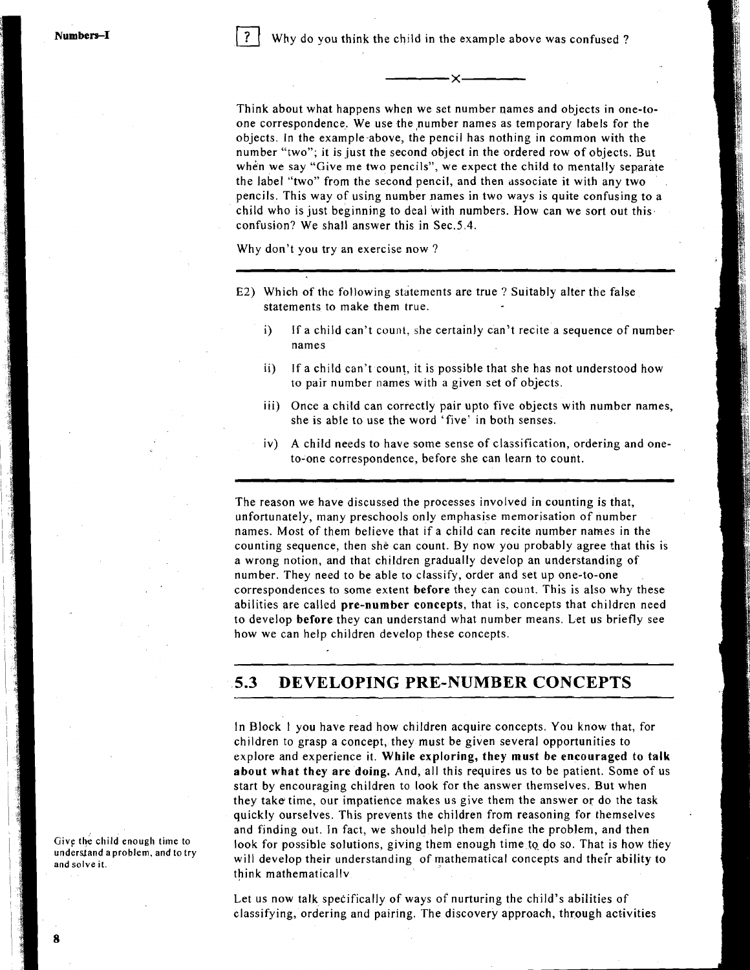Why do you think the child in the example above was confused?

 $\propto$ 

Think about what happens when we set number names and objects in one-toone correspondence. We use the number names as temporary labels for the objects. In the example-above, the pencil has nothing in common with the number "two"; it is just the second object in the ordered row of objects. But when we say "Give me two pencils", we expect the child to mentally separate the label "two" from the second pencil, and then dssociate it with any two pencils. This way of using number names in two ways is quite confusing to a child who is just beginning to deal with numbers. How can we sort out this confusion? We shall answer this in Sec.5.4.

Why don't you try an exercise now ?

- E2) Which of the following statements are true ? Suitably alter the false statements to make them true.
	- i) If a child can't count, she certainly can't recite a sequence of numbernames
	- ii) If a child can't count, it is possible that she has not understood how to pair number names with a given set of objects.
	- iii) Once a child can correctly pair upto five objects with number names, she is able to use the word 'five' in both senses.
	- iv) A child needs to have some sense of classification, ordering and oneto-one correspondence, before she can learn to count.

The reason we have discussed the processes involved in counting is that, unfortunately, many preschools only emphasise memorisation of number names. Most of them believe that if a child can recite number names in the counting sequence, then she can count. By now you probably agree that this is a wrong notion, and that children gradually develop an understanding of number. They need to be able to classify, order and set up one-to-one correspondences to some extent before they can count. This is also why these abilities are called pre-number concepts, that is, concepts that children need to develop before they can understand what number means. Let us briefly see how we can help children develop these concepts.

#### $5.3$ **DEVELOPING PRE-NUMBER CONCEPTS**

In Block 1 you have read how children acquire concepts. You know that, for children to grasp a concept, they must be given several opportunities to explore and experience it. While exploring, they must be encouraged to talk about what they are doing. And, all this requires us to be patient. Some of us start by encouraging children to look for the answer themselves. But when they take time, our impatience makes us give them the answer or do the task quickly ourselves. This prevents the children from reasoning for themselves and findjng out. In fact, we should help them define the problem, and then look for possible solutions, giving them enough time to do so. That is how they will develop their understanding of mathematical concepts and their ability to think mathematicallv

Let us now talk specifically of ways of nurturing the child's abilities of classifying, ordering and pairing. The discovery approach, through activities

**Give the child enough time to understand a problem, and to try and solve it.** 

'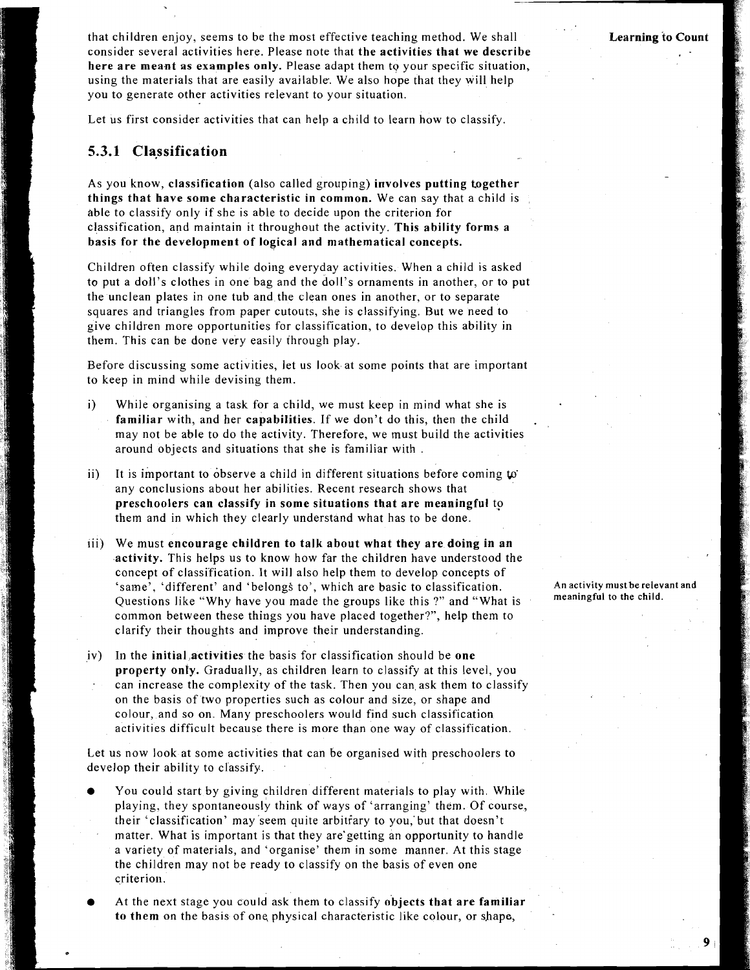<sup>1</sup>that children enjoy, seems to be the most effective teaching method. We shall I consider several activities here. Please note that **the activities that we describe here are meant as examples only.** Please adapt them to your specific situation, using the materials that are easily available. We also hope that they will help you to generate other activities relevant to your situation.

Let us first consider activities that can help a child to learn how to classify.

#### **5.3.1 Classification**

As you know, **classification** (also called grouping) **involves putting together things that have some characteristic in common.** We can say that a child is able to classify only if she is able to decide upon the criterion for classification, and maintain it throughout the activity. **This ability forms a basis for the development of logical and mathematical concepts.** 

Children often classify while doing everyday activities. When a child is asked to put a doll's clothes in one bag and the doll's ornaments in another, or to put the unclean plates in one tub and the clean ones in another, or to separate squares and triangles from paper cutouts, she is classifying. But we need to give children more opportunities for classification, to develop this ability in them. This can be done very easily through play.

Before discussing some activities, let us look at some points that are important to keep in mind while devising them.

- i) While organising a task for a child, we must keep in mind what she is **familiar** with, and her **capabilities.** If we don't do this, then the child . may not be able to do the activity. Therefore, we must build the activities around objects and situations that she is familiar with .
- ii) It is important to observe a child in different situations before coming **to**  any conclusions about her abilities. Recent research shows that **preschoolers can classify in some situations that are meaningful** tp them and in which they clearly understand what has to be done.
- lii) We must **encourage children to talk about what they are doing in an activity.** This helps us to know how far the children have understood the concept of classi'fication. It will also help them to develop concepts of 'same', 'different' and 'belongs to', which are basic to classification. Questions like "Why have you made the groups like this ?" and "What is common between these things you have placed together?", help them to clarify their thoughts and improve their understanding.
- iv) In the **initia1,activities** the basis for classification should be **one property only.** Gradually, as children learn to classify at this level, you can increase the complexity of the task. Then you can ask them to classify on the basis of two properties such as colour and size, or shape and colour, and so on. Many preschoolers would find such classification activities difficult because there is more than one way of classification.

Let us now look at some activities that can be organised with preschoolers to develop their ability to classify.

- You could start by giving children different materials to play with. While playing, they spontaneously think of ways of 'arranging' them. Of course, their 'classification' may 'seem quite arbitiary to you,'but that doesn't matter. What is important is that they are'getting an opportunity to handle a variety of materials, and 'organise' them in some manner. At this stage the children may not be ready to classify on the basis of even one criterion.
- At the next stage you could ask them to classify **objects that are familiar to them** on the basis of one, physical characteristic like colour, or shape,

**An activity mustbe relevant and meaningful to the child.**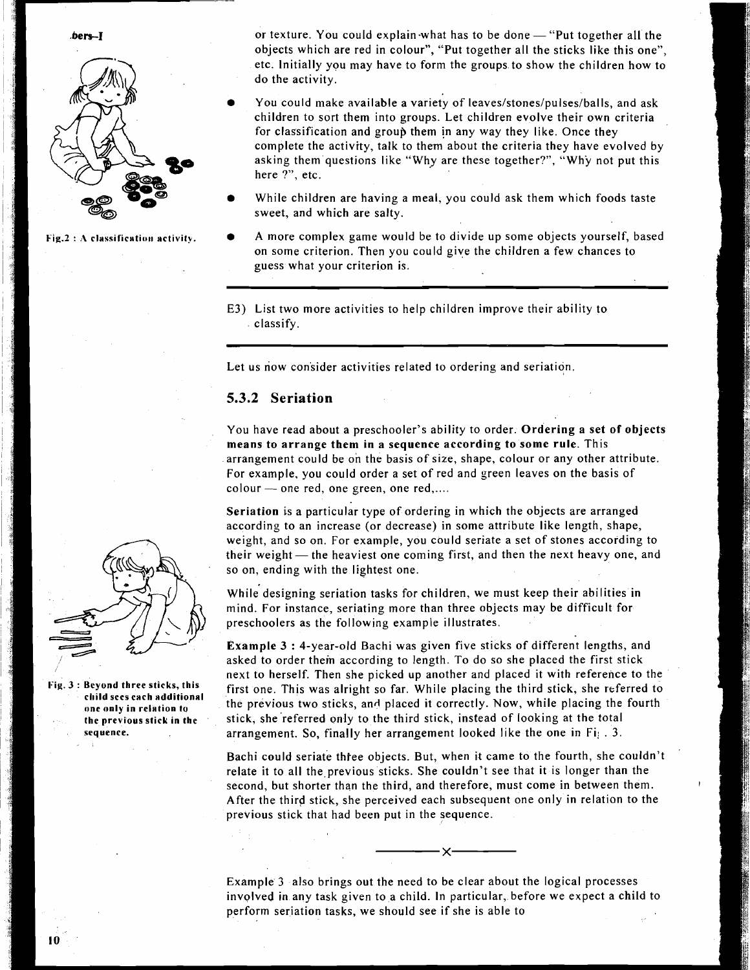



**bers-I** or texture. You could explain what has to be done - "Put together all the objects which are red in colour", "Put together all the sticks like this one", etc. Initially you may have to form the groups to show the children how to do the activity.

- You could make available a variety of **leaves/stones/pulses/balls,** and ask children to sort them into groups. Let children evolve their own criteria for classification and group them jn any way they like. Once they complete the activity, talk to them about the criteria they have evolved by asking them questions like "Why are these together?", "Why not put this here ?", etc.
- While children are having a meal, you could ask them which foods taste sweet, and which are salty.
- Fig.2 : A classification activity.  $\bullet$  A more complex game would be to divide up some objects yourself, based on some criterion. Then you could give the children a few chances to guess what your criterion is.
	- E3) List two more activities to help children improve their ability to classify.

Let us now consider activities related to ordering and seriation.

#### **5.3.2 Seriation**

You have read about a preschooler's ability to order. Ordering a set of objects means to arrange them in a sequence according to some rule. This arrangement could be on the basis of size, shape, colour or any other attribute. For example, you could order a set of red and green leaves on the basis of arrangement could be on the basis of size.<br>For example, you could order a set of red<br>colour — one red, one green, one red,....

Seriation is a particular type of ordering in which the objects are arranged according to an increase (or decrease) in some attribute like length, shape, weight, and so on. For example, you could seriate a set of stones according to according to an increase (or decrease) in some attribute like length, shape,<br>weight, and so on. For example, you could seriate a set of stones according to<br>their weight — the heaviest one coming first, and then the next he so on, ending with the lightest one.

While designing seriation tasks for children, we must keep their abilities in mind. For instance, seriating more than three objects may be difficult for preschoolers as the following example illustrates.

Example 3 : 4-year-old Bachi was given five sticks of different lengths, and asked to order them according to length. To do so she placed the first stick next to herself. Then she picked up another and placed it with reference to the 3: Beyond three sticks, this **first one.** This was alright so far. While placing the third stick, she referred to **onc only in relation to** the previous two sticks, and placed it correctly. Now, while placing the fourth **the previousstick in the** stick, she'referred only to the third stick, instead of looking at the total **sequence. arrangement.** So, finally her arrangement looked like the one in Fi<sub>i</sub>. 3.

> Bachi could seriate thiee objects. But, when it came to the fourth, she couldn't relate it to all the previous sticks. She couldn't see that it is longer than the second, but shorter than the third, and therefore, must come in between them. **<sup>I</sup>** After the third stick, she perceived each subsequent one only in relation to the previous stick that had been put in the sequence.

> Example 3 also brings out the need to be clear about the logical processes involved in any task given to a child. In particular, before we expect a child to perform seriation tasks, we should see if she is able to



**cl~ild sees each ndditionnl**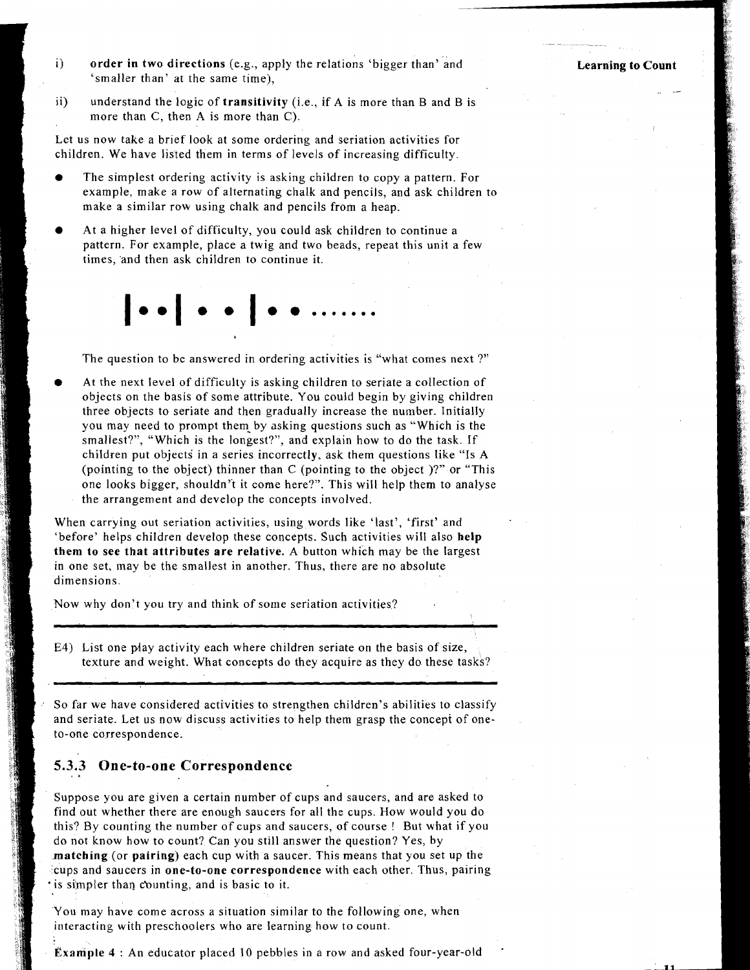- i) order in two directions (e.g., apply the relations 'bigger than' and 'smaller than' at the same time),
- ii) understand the logic of transitivity (i.e., if A is more than B and B is more than *C,* then A is more than C).

Let us now take a brief look at some ordering and seriation activities for children. We have listed them in terms of levels of increasing difficulty.

- The simplest ordering activity is asking children to copy a pattern. For example, make a row of alternating chalk and pencils, and ask children to make a similar row using chalk and pencils from a heap.
- At a higher level of difficulty, you could ask children to continue a pattern. For example, place a twig and two beads, repeat this unit a few times, 'and then ask children to continue it.

The question to be answered in ordering activities is "what comes next ?"

At the next level of difficulty is asking children to seriate a collection of objects on the basis of some attribute. You could begin by giving children three objects to seriate and then gradually increase the number. Initially you may need to prompt them by asking questions such as "Which is the smallest?", "Which is the longest?", and explain how to do the task. If children put objects in a series incorrectly, ask them questions like "Is A (pointing to the object) thinner than C (pointing to the object )?" or "This one looks bigger, shouldn't it come here?". This will help them to analyse the arrangement and develop the concepts involved.

When carrying out seriation activities, using words like 'last', 'first' and 'before' helps children develop these concepts. Such activities will also help them to see that attributes are relative. **A** button which may be the largest in one set, may be the smallest in another. Thus, there are no absolute dimensions.

Now why don't you try and think of some seriation activities?

E4) List one flay activity each where children seriate on the basis of size, texture and weight. What concepts do they acquire as they do these tasks?

So far we have considered activities to strengthen children's abilities to classify and seriate. Let us now discuss activities to help them grasp the concepi of oneto-one correspondence.

## **5.3.3 One-to-one Correspondence** . **<sup>a</sup>**

Suppose you are given a certain number of cups and saucers, and are asked to find out whether there are enough saucers for all the cups. How would you do this? By counting the number of cups and saucers, of course ! But what if you do not know how to count? Can you still answer the question? Yes, by matching (or pairing) each cup with a saucer. This means that you set up the cups and saucers in one-to-one correspondence with each other. Thus, pairing 'is simpler than cbunting, and is basic to it.

You may have come across a situation similar to the following one, when interacting with preschoolers who are learning how to count.

Example 4 : An educator placed 10 pebbles in a row and asked four-year-old .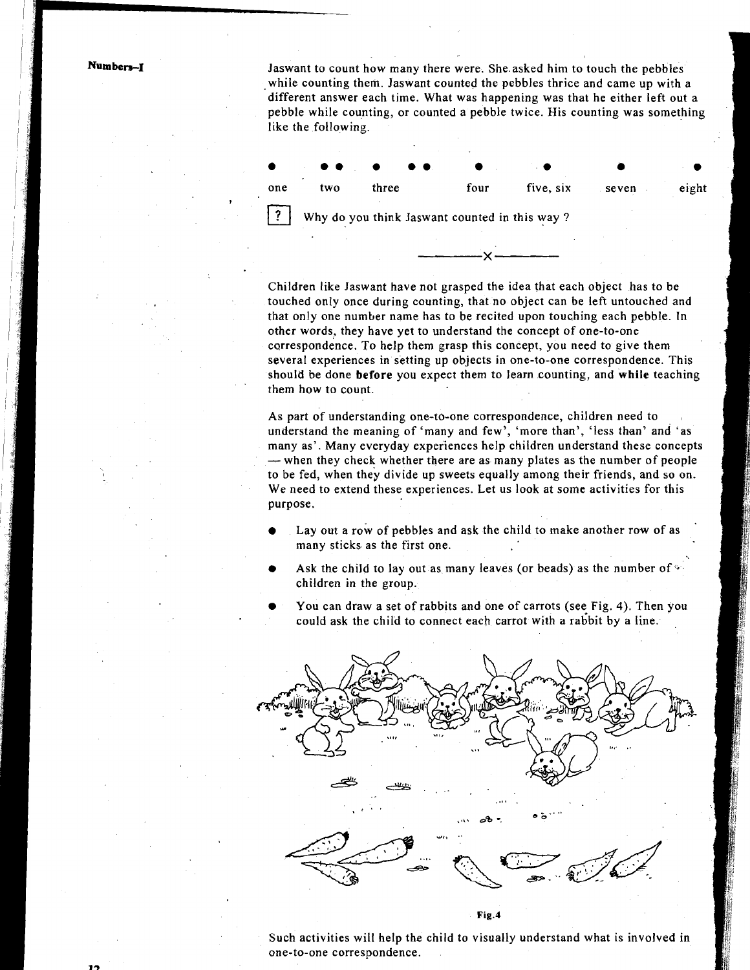Numbers-1

?

Jaswant to count how many there were. She.asked him to touch the pebbles while counting them. Jaswant counted the pebbles thrice and came up with a different answer each time. What was happening was that he either left out a like the following.



Children like Jaswant have not grasped the idea that each object has to be touched only once during counting, that no object can be left untouched and that only one number name has to be recited upon touching each pebble. In other words, they have yet to understand the concept of one-to-one carrespondence. To help them grasp this concept, you need to give them several experiences in setting up objects in one-to-one correspondence. This should be done **before** you expect them to learn counting, and **while** teaching them how to count.

As part of understanding one-to-one correspondence, children need to understand the meaning of 'many and few', 'more than', 'less than' and 'as many as'. Many everyday experiences help children understand these concepts  $-$  when they check whether there are as many plates as the number of people to be fed, when they divide up sweets equally among their friends, and so on. We need to extend these experiences. Let us look at some activities for this purpose.

- Lay out a row of pebbles and ask the child to make another row of as many sticks as the first one.
- Ask the child to lay out as many leaves (or beads) as the number of children in the group.
- You can draw a set of rabbits and one of carrots (see Fig. 4). Then you could ask the child to connect each carrot with **a** rabbit by a line.



Such activities will help the child to visually understand what is involved in one-to-one correspondence.

Fig.4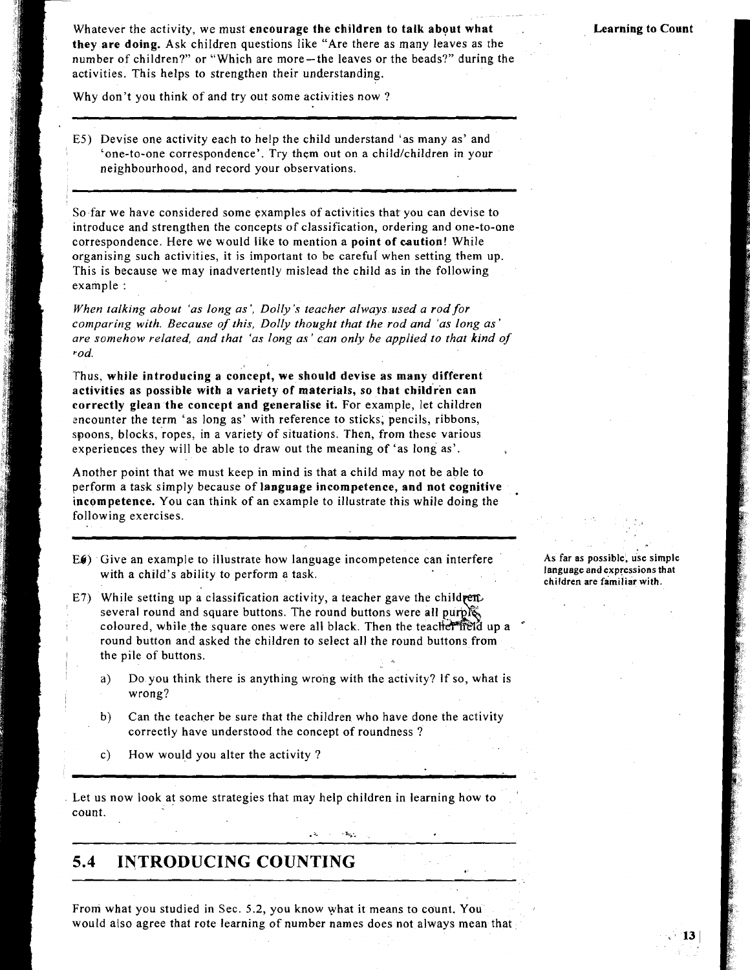Whatever the activity, we must **encourage the children to talk about what they are doing.** Ask children questions like "Are there as many leaves as the number of children?" or "Which are more-the leaves or the beads?" during the activities. This helps to strengthen their understanding.

Why don't you think of and try out some activities now?

E5) Devise one activity each to help the child understand 'as many as' and 'one-to-one correspondence'. Try them out on a child/children in your neighbourhood, and record your observations.

So far we have considered some examples of activities that you can devise to introduce and strengthen the concepts of classification, ordering and one-to-one correspondence. Here we would like to mention a **point of caution!** While organising such activities, it is important to be careful when setting them up. This is because we may inadvertently mislead the child as in the following example :

*When talking about 'as long as', Dolly's teacher always used a rod for comparing with. Because of this, Dolly thought that the rod and 'as long as' are somehow related, and that 'as long as' can only be applied to that kind of rod.* 

Thus, **while introducing a concept, we should devise as many different activities as possible with a variety of materials, so that children can correctly glean the concept and generalise it.** For example, let children encounter the term 'as long as' with reference to sticks, pencils, ribbons, spoons, blocks, ropes, in a variety of situations. Then, from these various experiences they will be able to draw out the meaning of 'as long as'.

Another point that we must keep in mind is that a child may not be able to perform a task simply because of **language incompetence, and not cognitive** incompetence. You can think of an example to illustrate this while doing the following exercises.

- **E4)** Give an example to illustrate how language incompetence can interfere with a child's ability to perform a task.
- E7) While setting up a classification activity, a teacher gave the childrenseveral round and square buttons. The round buttons were all purpless coloured, while the square ones were all black. Then the teacher field up a round button and asked the children to select all the round buttons from the pile of buttons.
	- a) Do you think there is anything wrong with the activity? If so, what is wrong?
	- b) Can the teacher be sure that the children who have done the activity correctly have understood the concept of roundness ?
	- c) How would you alter the activity ?

. Let us now look at some strategies that may help children in learning how to count.

## **5.4 INTRODUCING COUNTING**

From what you studied in Sec. 5.2, you know what it means to count. You would also agree that rote learning of number names does not always mean that

**As far as possible, use simple language and expressions that children are familiar with.**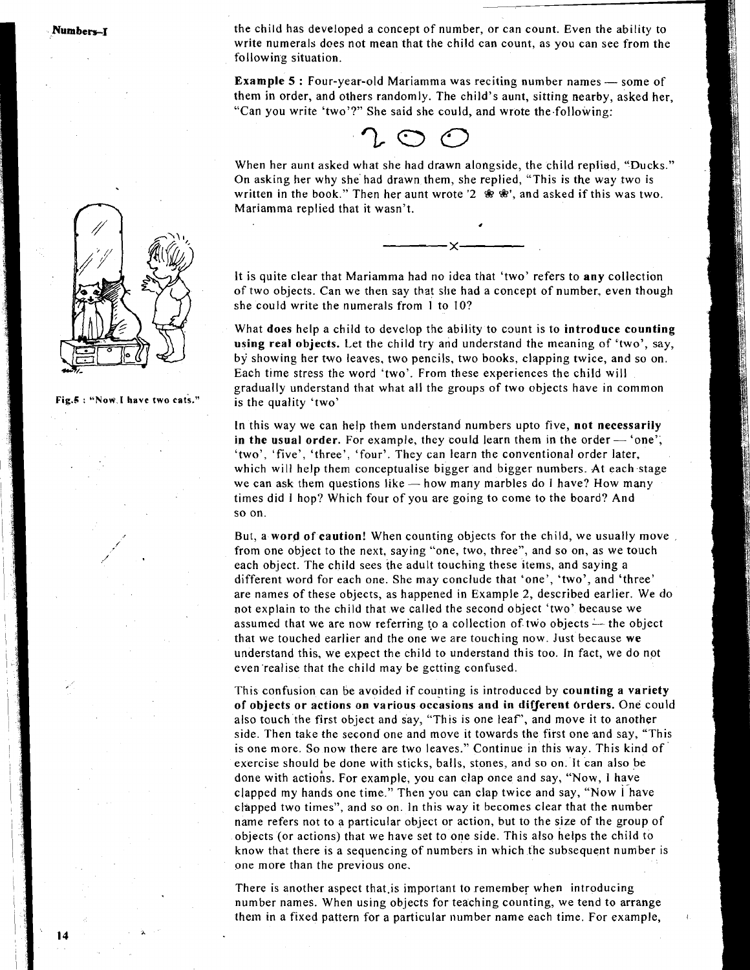Numbers-1

the child has developed a concept of number, or can count. Even the ability to write numerals does not mean that the child can count, as you can see from the following situation.

**Example 5 : Four-year-old Mariamma was reciting number names — some of** them in order, and others randomly. The child's aunt, sitting nearby, asked her, "Can you write 'two'?" She said she could, and wrote the.following:



When her aunt asked what she had drawn alongside, the child replied, "Ducks." On asking her why she had drawn them, she replied, "This is the way two is written in the book." Then her aunt wrote '2  $\mathcal{R} \cdot \mathcal{R}$ ', and asked if this was two. Mariamma replied that it wasn't.

#

It is quite clear that Mariamma had no idea that 'two' refers to **any** collection of two objects. Can we then say that slie had a concept of number, even though she could write the numerals from 1 to lo?

What **does** help a child to develop the ability to cmnt is to **introduce counting using real objects.** Let the child try and understand the meaning of 'two', say, by showing her two leaves, two pencils, two books, clapping twice, and so on. Each time stress the word 'two'. From these experiences the child will gradually understand that what all the groups of two objects have in common is the quality 'two'

In this way we can help them understand numbers upto five, **not necessarily**  In this way we can help them understand numbers upto five, not necessarily<br>in the usual order. For example, they could learn them in the order - 'one'; 'two', 'five', 'three', 'four'. They can learn the conventional order later, which will help them conceptualise bigger and bigger numbers. At each stage we can ask them questions like  $-$  how many marbles do I have? How many times did I hop? Which four of you are going to come to the board? And so on.

But, a **word of caution!** When counting objects for the child, we usually move from one object to the next, saying "one, two, three", and so on, as we touch each object. The child sees the adult touching these items, and saying a different word for each one. She may conclude that 'one', 'two', and 'three' are names of these objects, as happened in Example **2,** described earlier. We do not explain to the child that we called the second object 'two' because we assumed that we are now referring to a collection of two objects  $\rightarrow$  the object that we touched earlier and the one we are touching now. Just because **we**  understand this, we expect the child to understand this too. In fact, we do npt even'realise that the child may be getting confused.

This confusion can be avoided if counting is introduced by **counting a variety of objects or actions on various occasions and in different Orders.** One could also touch the first object and say, "This is one leaf', and move it to another side. Then take the second one and move it towards the first one and say, "This is one more. So now there are two leaves." Continue in this way. This kind of exercise should be done with sticks, balls, stones, and so on. It can also be done with actiohs. For example, you can clap once and say, "Now, I have clapped my hands one time." Then you can clap twice and say, "Now Ihave clapped two times", and so on. In this way it becomes clear that the number name refers not to a particular object or action, but to the size of the group of objects (or actions) that we have set to one side. This also helps the child to know that there is a sequencing of numbers in which the subsequent number is one more than the previous one.

There is another aspect that.is important to remember when introducing number names. When using objects for teaching counting, we tend to arrange them in a fixed pattern for a particular number name each time. For example,



**Fig.&** : **"Now.1 have two cats."**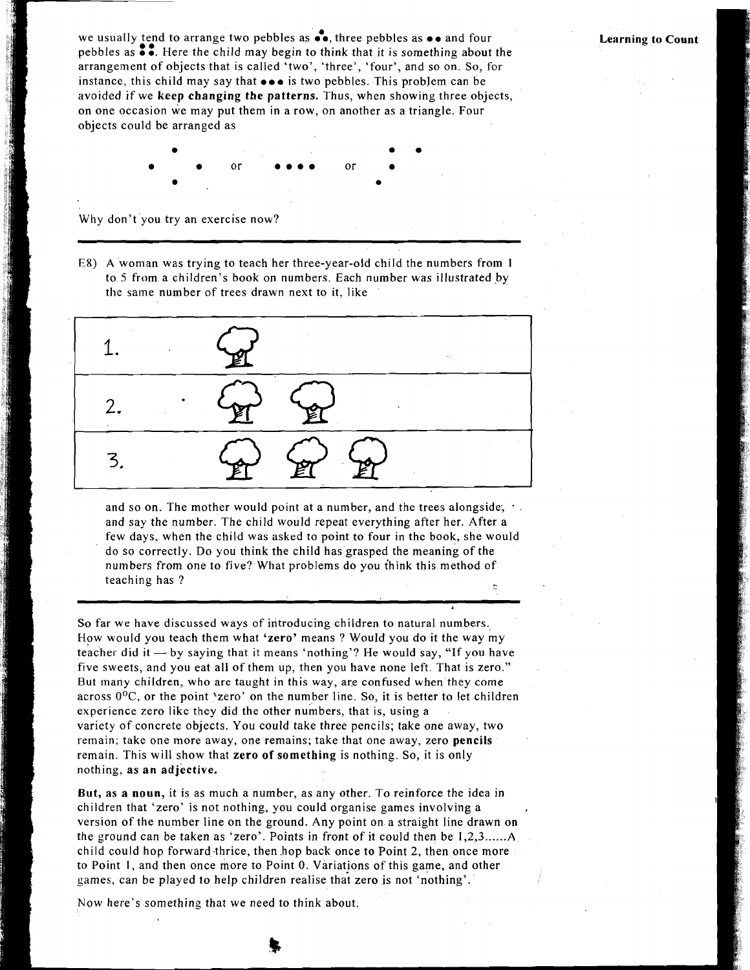we usually tend to arrange two pebbles as  $\bullet\bullet$ , three pebbles as  $\bullet\bullet$  and four we usually tend to arrange two pebbles as  $\bullet\bullet$ , three pebbles as  $\bullet\bullet$  and four pebbles as  $\bullet\bullet$ . Here the child may begin to think that it is something about the arrangement of objects that is called 'two', 'three', arrangement of objects that is called 'two', 'three', 'four', and so on. So, for instance, this child may say that **0.0** is two pebbles. This problem can be avoided if we **keep changing the patterns.** Thus, when showing three objects, on one occasion we may put them in a row, on another as a triangle. Four objects could be arranged as

**Learning to Count** 

 $\alpha$ r

Why don't you try an exercise now?

E8) A woman was trying to teach her three-year-old child the numbers from 1 to. 5 from a children's book on numbers. Each number was illustrated by the same number of trees drawn next to it, like



and so on. The mother would point at a number, and the trees alongside; and say the number. The child would repeat everything after her. After a few days, when the child was asked to point to four in the book, she would do so correctly. Do you think the child has grasped the meaning of the numbers from one to five? What problems do you think this method of teaching has ?

So far we have discussed ways of introducing children to natural numbers. How would you teach them what **'zero'** means ? Would you do it the way my teacher did it  $-$  by saying that it means 'nothing'? He would say, "If you have five sweets, and you eat all of them up, then you have none left. That is zero." But many children, who are taught in this way, are confused when they come across  $0^{\circ}$ C, or the point 'zero' on the number line. So, it is better to let children experience zero like they did the other numbers, that is, using a variety of concrete objects. You could take three pencils; take one away, two remain; take one more away, one remains; take that one away, zero **pencils**  remain. This will show that **zero of something** is nothing. So, it is only nothing, **as an adjective.** 

**But, as a noun,** it is as much a number, as any other. To reinforce the idea in children that 'zero' is not nothing, you could organise games involving a **,**  version of the number line on the ground. Any point on a straight line drawn on the ground can be taken as 'zero'. Points in front of it could then be I,2,3 ...... <sup>A</sup> child could hop forward-thrice, then .hop back once to Point 2, then once more to Point **1,** and then once more to Point **0.** Variations of this game, and other games, can be played to help children realise that zero is not 'nothing'. <sup>I</sup>

Now here's something that we need to think about.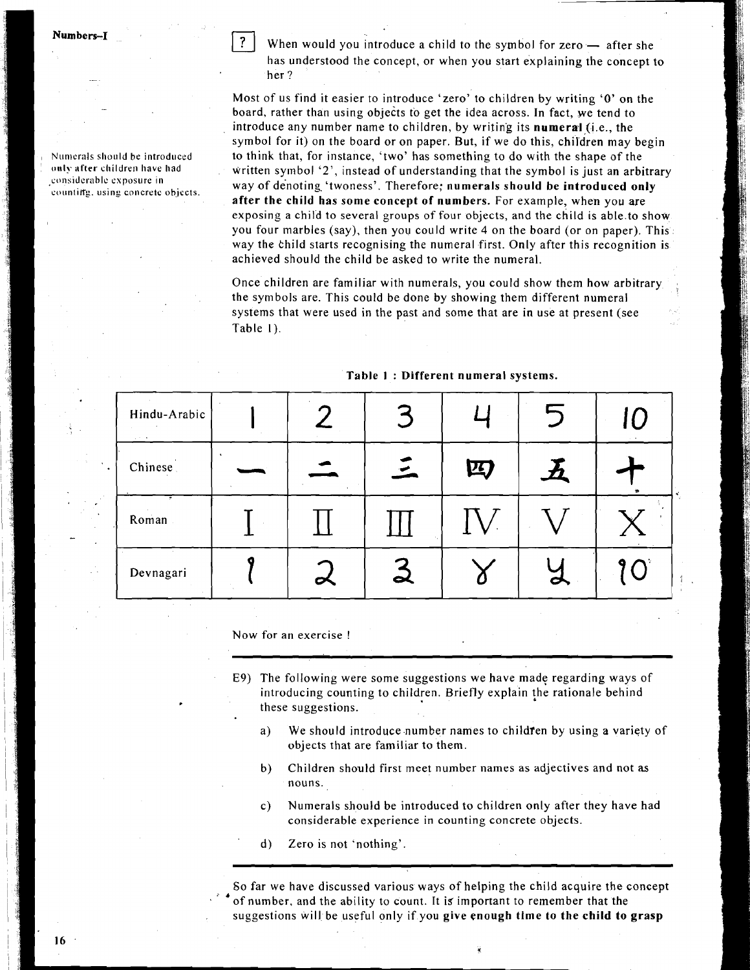Numbers-1

Numerals should be introduced only after children have had **considcrablc exposure in**  countiffg. using concrete objects. When would you introduce a child to the symbol for zero  $-$  after she has understood the concept, or when you start explaining the concept to her ?

Most of us find it easier to introduce 'zero' to children by writing **'0'** on the board, rather than using objects to get the idea across. In fact, we tend to introduce any number name to children, by writing its numeral (i.e., the symbol for it) on the board or on paper. But, if we do this, children may begin to think that, for instance, 'two' has something to do with the shape of the written symbol **'2',** instead of understanding that the symbol is just an arbitrary way of denoting. 'twoness'. Therefore; numerals should be introduced only after the child has some concept of numbers. For example, when you are exposing a child to several groups of four objects, and the child is able.to show you four marbles (say), then you could write 4 on the board (or on paper). This way the bhild starts recognising the numeral first. Only after this recognition is achieved should the child be asked to write the numeral.

Once children are familiar with numerals, you could show them how arbitrary the symbols are. This could be done by showing them different numeral systems that were used in the past and some that are in use at present (see Table I).

| Hindu-Arabic<br>$\alpha$ , $\beta$ , and |        | $\sim$         |   |   | IC        |  |
|------------------------------------------|--------|----------------|---|---|-----------|--|
| Chinese                                  |        | $\overline{z}$ | 四 |   |           |  |
| Roman                                    |        |                |   |   |           |  |
| Devnagari                                | $\sim$ | ᆋ              |   | ℺ | $9^\circ$ |  |

Table I : Different numeral systems.

Now for an exercise !

- E9) The following were some suggestions we have made regarding ways of introducing counting to children. Briefly explain the rationale behind these suggestions.
	- a) We should introduce number names to children by using a variety of objects that are familiar to them.
	- b) Children should first meet number names as adjectives and not **as**  nouns.
	- c) Numerals should be introduced to children only after they have had considerable experience in counting concrete objects.
	- d) Zero is not 'nothing'.

So far we have discussed various ways of helping the child acquire the concept of number, and the ability to count. It is important to remember that the suggestions will be useful only if you give enough time to the child to grasp

16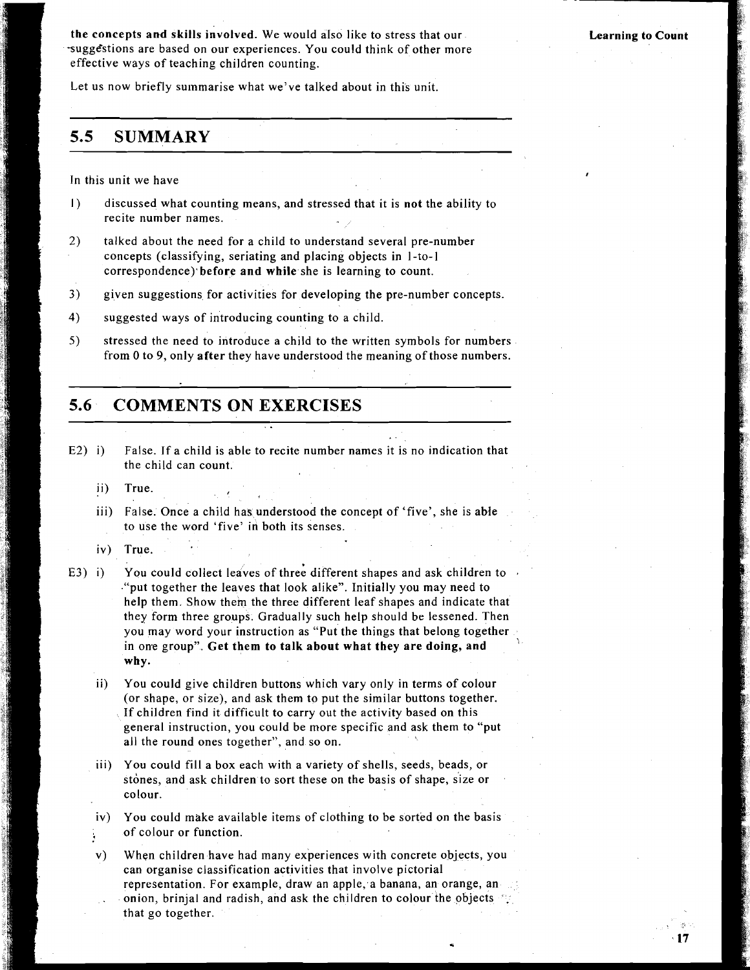Learning to Count

the concepts and skills involved. We would aIso like to stress that our sugg&stions are based on our experiences. You could think of other more effective ways of teaching children counting.

Let us now briefly summarise what we've talked about in this unit.

## **5.5 SUMMARY**

In this unit we have

- 1) discussed what counting means, and stressed that it is not the ability to recite number names.
- 2) talked about the need for a child to understand several pre-number concepts (classifying, seriating and placing objects in I-to-1 correspondence) before and while she is learning to count.
- 3) given suggestions for activities for developing the pre-number concepts.
- **4)** suggested ways of introducing counting to a child.
- **5)** stressed the need to introduce a child to the written symbols for numbers from 0 to 9, only after they have understood the meaning of those numbers.

## **5.6 COMMENTS ON EXERCISES**

- E2) i) False. If a child is able to recite number names it is no indication that the child can count.
	- ii) True.
	- iii) False. Once a child has understood the concept of 'five', she is able to use the word 'five' in both its senses.
	- iv) True.
- E3) i) You could collect leaves of three different shapes and ask children to ."put together the leaves that look alike". Initially you may need to help them. Show them the three different leaf shapes and indicate that they form three groups. Gradually such help should be lessened. Then you may word your instruction as "Put the things that belong together in one group". Get them to talk about what they are doing, and why.
	- ii) You could give children buttons which vary only in terms of colour (or shape, or size), and ask them to put the similar buttons together. If children find it difficult to carry out the activity based on this general instruction, you could be more specific and ask them to "put all the round ones together", and so on.
	- iii) You could fill a box each with a variety of shells, seeds, beads, or stones, and ask children to sort these on the basis of shape, size or colour.
	- iv) You could make available items of clothing to be sorted on the basis ; of colour or function.
	- v) When children have had many experiences with concrete objects, you can organise classification activities that involve pictorial representation. For example, draw an apple, a banana, an orange, an onion, brinjal and radish, and ask the children to colour the objects  $\cdot$ . that go together.